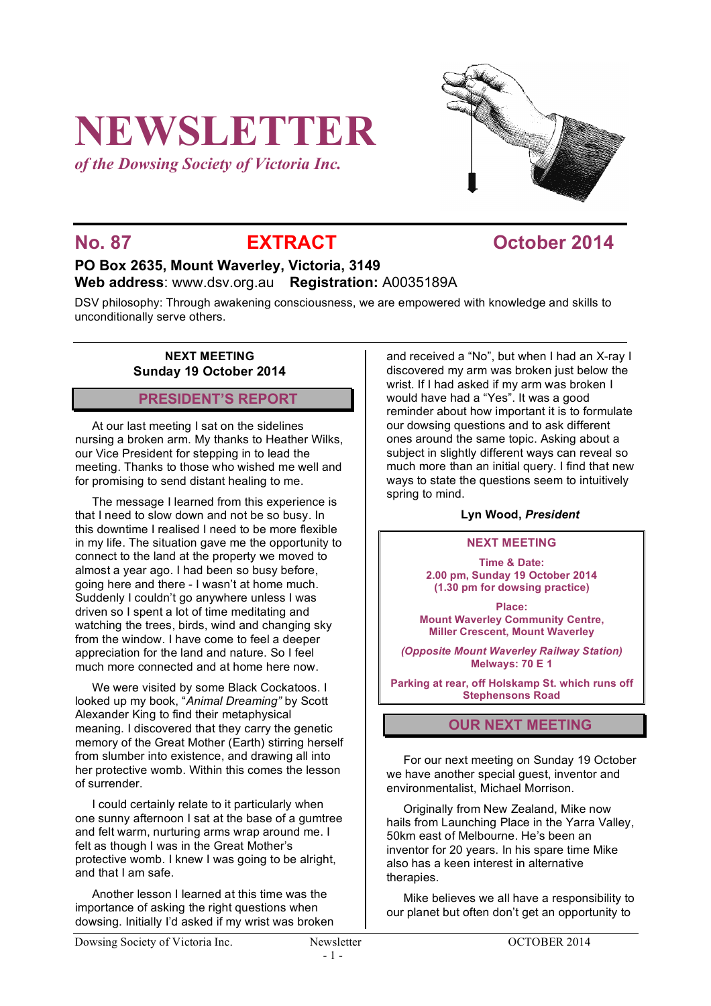# **NEWSLETTER**

*of the Dowsing Society of Victoria Inc.*



### **No. 87 EXTRACT COLORER 1014**

#### **PO Box 2635, Mount Waverley, Victoria, 3149 Web address**: www.dsv.org.au **Registration:** A0035189A

DSV philosophy: Through awakening consciousness, we are empowered with knowledge and skills to unconditionally serve others.

#### **NEXT MEETING Sunday 19 October 2014**

#### **PRESIDENT'S REPORT**

At our last meeting I sat on the sidelines nursing a broken arm. My thanks to Heather Wilks, our Vice President for stepping in to lead the meeting. Thanks to those who wished me well and for promising to send distant healing to me.

The message I learned from this experience is that I need to slow down and not be so busy. In this downtime I realised I need to be more flexible in my life. The situation gave me the opportunity to connect to the land at the property we moved to almost a year ago. I had been so busy before, going here and there - I wasn't at home much. Suddenly I couldn't go anywhere unless I was driven so I spent a lot of time meditating and watching the trees, birds, wind and changing sky from the window. I have come to feel a deeper appreciation for the land and nature. So I feel much more connected and at home here now.

We were visited by some Black Cockatoos. I looked up my book, "*Animal Dreaming"* by Scott Alexander King to find their metaphysical meaning. I discovered that they carry the genetic memory of the Great Mother (Earth) stirring herself from slumber into existence, and drawing all into her protective womb. Within this comes the lesson of surrender.

I could certainly relate to it particularly when one sunny afternoon I sat at the base of a gumtree and felt warm, nurturing arms wrap around me. I felt as though I was in the Great Mother's protective womb. I knew I was going to be alright, and that I am safe.

Another lesson I learned at this time was the importance of asking the right questions when dowsing. Initially I'd asked if my wrist was broken and received a "No", but when I had an X-ray I discovered my arm was broken just below the wrist. If I had asked if my arm was broken I would have had a "Yes". It was a good reminder about how important it is to formulate our dowsing questions and to ask different ones around the same topic. Asking about a subject in slightly different ways can reveal so much more than an initial query. I find that new ways to state the questions seem to intuitively spring to mind.

#### **Lyn Wood,** *President*

#### **NEXT MEETING**

**Time & Date: 2.00 pm, Sunday 19 October 2014 (1.30 pm for dowsing practice)**

**Place: Mount Waverley Community Centre, Miller Crescent, Mount Waverley**

*(Opposite Mount Waverley Railway Station)* **Melways: 70 E 1**

**Parking at rear, off Holskamp St. which runs off Stephensons Road**

#### **OUR NEXT MEETING**

For our next meeting on Sunday 19 October we have another special guest, inventor and environmentalist, Michael Morrison.

Originally from New Zealand, Mike now hails from Launching Place in the Yarra Valley, 50km east of Melbourne. He's been an inventor for 20 years. In his spare time Mike also has a keen interest in alternative therapies.

Mike believes we all have a responsibility to our planet but often don't get an opportunity to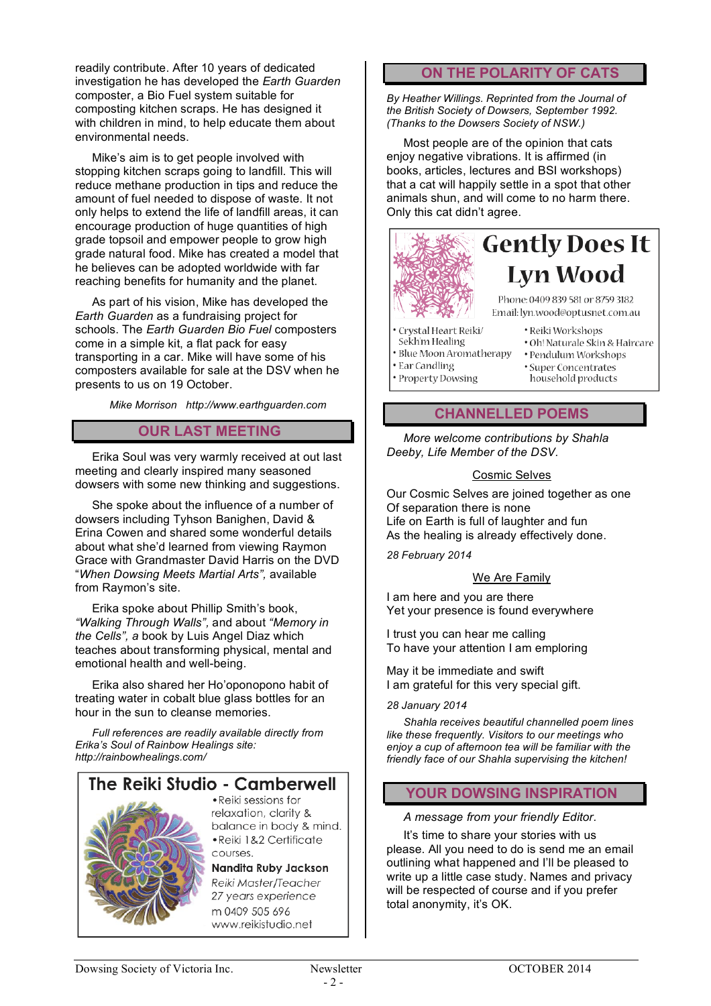readily contribute. After 10 years of dedicated investigation he has developed the *Earth Guarden* composter, a Bio Fuel system suitable for composting kitchen scraps. He has designed it with children in mind, to help educate them about environmental needs.

Mike's aim is to get people involved with stopping kitchen scraps going to landfill. This will reduce methane production in tips and reduce the amount of fuel needed to dispose of waste. It not only helps to extend the life of landfill areas, it can encourage production of huge quantities of high grade topsoil and empower people to grow high grade natural food. Mike has created a model that he believes can be adopted worldwide with far reaching benefits for humanity and the planet.

As part of his vision, Mike has developed the *Earth Guarden* as a fundraising project for schools. The *Earth Guarden Bio Fuel* composters come in a simple kit, a flat pack for easy transporting in a car. Mike will have some of his composters available for sale at the DSV when he presents to us on 19 October.

*Mike Morrison http://www.earthguarden.com*

#### **OUR LAST MEETING**

Erika Soul was very warmly received at out last meeting and clearly inspired many seasoned dowsers with some new thinking and suggestions.

She spoke about the influence of a number of dowsers including Tyhson Banighen, David & Erina Cowen and shared some wonderful details about what she'd learned from viewing Raymon Grace with Grandmaster David Harris on the DVD "*When Dowsing Meets Martial Arts",* available from Raymon's site.

Erika spoke about Phillip Smith's book, *"Walking Through Walls",* and about *"Memory in the Cells", a* book by Luis Angel Diaz which teaches about transforming physical, mental and emotional health and well-being.

Erika also shared her Ho'oponopono habit of treating water in cobalt blue glass bottles for an hour in the sun to cleanse memories.

*Full references are readily available directly from Erika's Soul of Rainbow Healings site: http://rainbowhealings.com/*



#### **ON THE POLARITY OF CATS**

*By Heather Willings. Reprinted from the Journal of the British Society of Dowsers, September 1992. (Thanks to the Dowsers Society of NSW.)*

Most people are of the opinion that cats enjoy negative vibrations. It is affirmed (in books, articles, lectures and BSI workshops) that a cat will happily settle in a spot that other animals shun, and will come to no harm there. Only this cat didn't agree.



## **Gently Does It Lyn Wood**

Phone: 0409 839 581 or 8759 3182 Email: lyn.wood@optusnet.com.au

· Crystal Heart Reiki/

· Property Dowsing

- · Reiki Workshops Sekh'm Healing
- · Blue Moon Aromatherapy
- Ear Candling
- · Oh! Naturale Skin & Haircare
- · Pendulum Workshops
- · Super Concentrates
	- household products

#### **CHANNELLED POEMS**

*More welcome contributions by Shahla Deeby, Life Member of the DSV.* 

#### Cosmic Selves

Our Cosmic Selves are joined together as one Of separation there is none Life on Earth is full of laughter and fun As the healing is already effectively done.

*28 February 2014*

#### We Are Family

I am here and you are there Yet your presence is found everywhere

I trust you can hear me calling To have your attention I am emploring

May it be immediate and swift I am grateful for this very special gift.

*28 January 2014*

*Shahla receives beautiful channelled poem lines like these frequently. Visitors to our meetings who enjoy a cup of afternoon tea will be familiar with the friendly face of our Shahla supervising the kitchen!* 

#### **YOUR DOWSING INSPIRATION**

*A message from your friendly Editor.*

It's time to share your stories with us please. All you need to do is send me an email outlining what happened and I'll be pleased to write up a little case study. Names and privacy will be respected of course and if you prefer total anonymity, it's OK.